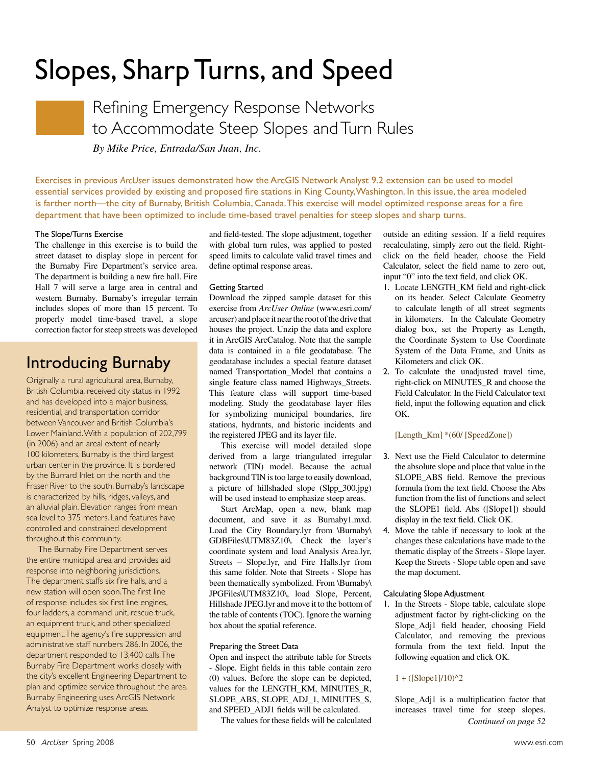

Refining Emergency Response Networks to Accommodate Steep Slopes and Turn Rules

*By Mike Price, Entrada/San Juan, Inc.*

Exercises in previous *ArcUser* issues demonstrated how the ArcGIS Network Analyst 9.2 extension can be used to model essential services provided by existing and proposed fire stations in King County, Washington. In this issue, the area modeled is farther north—the city of Burnaby, British Columbia, Canada. This exercise will model optimized response areas for a fire department that have been optimized to include time-based travel penalties for steep slopes and sharp turns.

#### The Slope/Turns Exercise

The challenge in this exercise is to build the street dataset to display slope in percent for the Burnaby Fire Department's service area. The department is building a new fire hall. Fire Hall 7 will serve a large area in central and western Burnaby. Burnaby's irregular terrain includes slopes of more than 15 percent. To properly model time-based travel, a slope correction factor for steep streets was developed

### Introducing Burnaby

Originally a rural agricultural area, Burnaby, British Columbia, received city status in 1992 and has developed into a major business, residential, and transportation corridor between Vancouver and British Columbia's Lower Mainland. With a population of 202,799 (in 2006) and an areal extent of nearly 100 kilometers, Burnaby is the third largest urban center in the province. It is bordered by the Burrard Inlet on the north and the Fraser River to the south. Burnaby's landscape is characterized by hills, ridges, valleys, and an alluvial plain. Elevation ranges from mean sea level to 375 meters. Land features have controlled and constrained development throughout this community.

The Burnaby Fire Department serves the entire municipal area and provides aid response into neighboring jurisdictions. The department staffs six fire halls, and a new station will open soon. The first line of response includes six first line engines, four ladders, a command unit, rescue truck, an equipment truck, and other specialized equipment. The agency's fire suppression and administrative staff numbers 286. In 2006, the department responded to 13,400 calls. The Burnaby Fire Department works closely with the city's excellent Engineering Department to plan and optimize service throughout the area. Burnaby Engineering uses ArcGIS Network Analyst to optimize response areas.

and field-tested. The slope adjustment, together with global turn rules, was applied to posted speed limits to calculate valid travel times and define optimal response areas.

#### Getting Started

Download the zipped sample dataset for this exercise from *ArcUser Online* (www.esri.com/ arcuser) and place it near the root of the drive that houses the project. Unzip the data and explore it in ArcGIS ArcCatalog. Note that the sample data is contained in a file geodatabase. The geodatabase includes a special feature dataset named Transportation\_Model that contains a single feature class named Highways\_Streets. This feature class will support time-based modeling. Study the geodatabase layer files for symbolizing municipal boundaries, fire stations, hydrants, and historic incidents and the registered JPEG and its layer file.

This exercise will model detailed slope derived from a large triangulated irregular network (TIN) model. Because the actual background TIN is too large to easily download, a picture of hillshaded slope (Slpp\_300.jpg) will be used instead to emphasize steep areas.

Start ArcMap, open a new, blank map document, and save it as Burnaby1.mxd. Load the City Boundary.lyr from \Burnaby\ GDBFiles\UTM83Z10\. Check the layer's coordinate system and load Analysis Area.lyr, Streets – Slope.lyr, and Fire Halls.lyr from this same folder. Note that Streets - Slope has been thematically symbolized. From \Burnaby\ JPGFiles\UTM83Z10\, load Slope, Percent, Hillshade JPEG.lyr and move it to the bottom of the table of contents (TOC). Ignore the warning box about the spatial reference.

#### Preparing the Street Data

Open and inspect the attribute table for Streets - Slope. Eight fields in this table contain zero (0) values. Before the slope can be depicted, values for the LENGTH\_KM, MINUTES\_R, SLOPE\_ABS, SLOPE\_ADJ\_1, MINUTES\_S, and SPEED\_ADJ1 fields will be calculated.

The values for these fields will be calculated

outside an editing session. If a field requires recalculating, simply zero out the field. Rightclick on the field header, choose the Field Calculator, select the field name to zero out, input "0" into the text field, and click OK.

- 1. Locate LENGTH\_KM field and right-click on its header. Select Calculate Geometry to calculate length of all street segments in kilometers. In the Calculate Geometry dialog box, set the Property as Length, the Coordinate System to Use Coordinate System of the Data Frame, and Units as Kilometers and click OK.
- 2. To calculate the unadjusted travel time, right-click on MINUTES\_R and choose the Field Calculator. In the Field Calculator text field, input the following equation and click OK.

#### [Length\_Km] \*(60/ [SpeedZone])

- 3. Next use the Field Calculator to determine the absolute slope and place that value in the SLOPE ABS field. Remove the previous formula from the text field. Choose the Abs function from the list of functions and select the SLOPE1 field. Abs ([Slope1]) should display in the text field. Click OK.
- 4. Move the table if necessary to look at the changes these calculations have made to the thematic display of the Streets - Slope layer. Keep the Streets - Slope table open and save the map document.

#### Calculating Slope Adjustment

1. In the Streets - Slope table, calculate slope adjustment factor by right-clicking on the Slope\_Adj1 field header, choosing Field Calculator, and removing the previous formula from the text field. Input the following equation and click OK.

#### $1 + ($ [Slope1]/10)^2

Slope\_Adj1 is a multiplication factor that increases travel time for steep slopes. *Continued on page 52*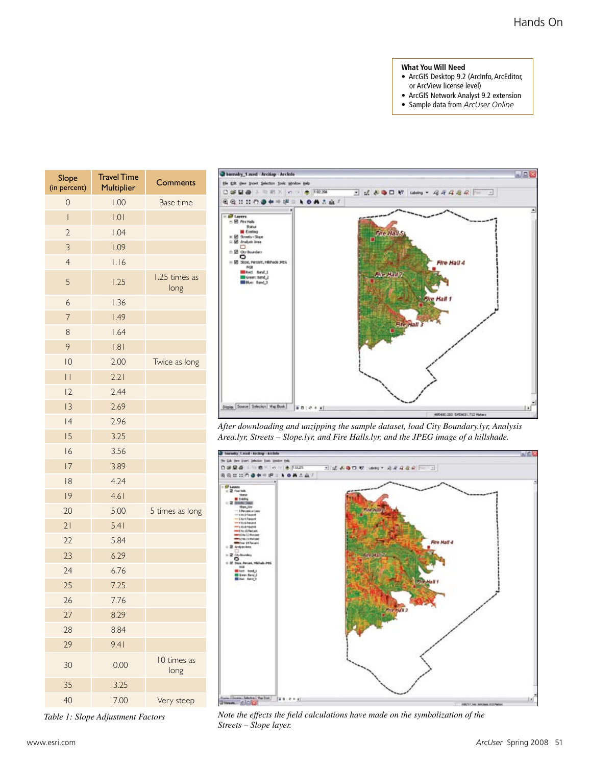#### **What You Will Need**

- ArcGIS Desktop 9.2 (ArcInfo, ArcEditor, or ArcView license level)
- ArcGIS Network Analyst 9.2 extension
- Sample data from *ArcUser Online*



*Table 1: Slope Adjustment Factors*



*After downloading and unzipping the sample dataset, load City Boundary.lyr, Analysis Area.lyr, Streets – Slope.lyr, and Fire Halls.lyr, and the JPEG image of a hillshade.*



*Note the effects the field calculations have made on the symbolization of the Streets – Slope layer.*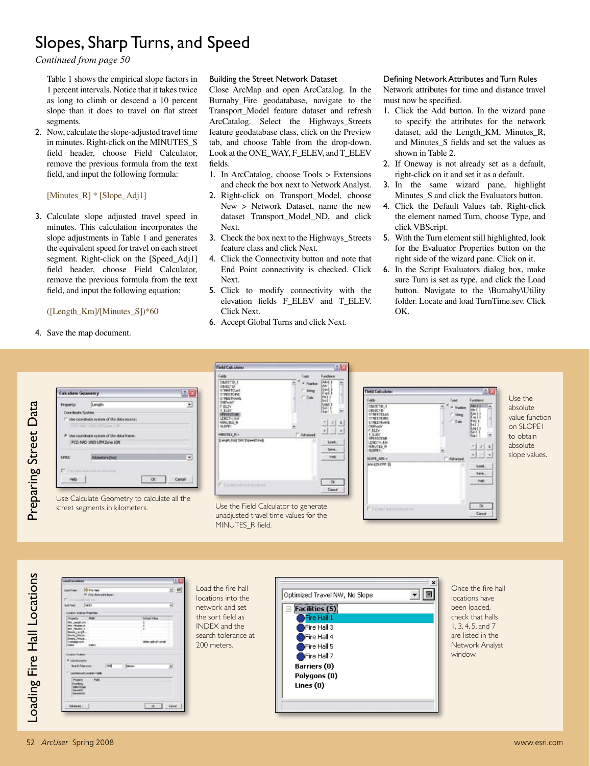*Continued from page 50*

Table 1 shows the empirical slope factors in 1 percent intervals. Notice that it takes twice as long to climb or descend a 10 percent slope than it does to travel on flat street segments.

2. Now, calculate the slope-adjusted travel time in minutes. Right-click on the MINUTES\_S field header, choose Field Calculator, remove the previous formula from the text field, and input the following formula:

[Minutes\_R] \* [Slope\_Adj1]

3. Calculate slope adjusted travel speed in minutes. This calculation incorporates the slope adjustments in Table 1 and generates the equivalent speed for travel on each street segment. Right-click on the [Speed\_Adj1] field header, choose Field Calculator, remove the previous formula from the text field, and input the following equation:

#### ([Length\_Km]/[Minutes\_S])\*60

4. Save the map document.

#### Building the Street Network Dataset

Close ArcMap and open ArcCatalog. In the Burnaby\_Fire geodatabase, navigate to the Transport\_Model feature dataset and refresh ArcCatalog. Select the Highways\_Streets feature geodatabase class, click on the Preview tab, and choose Table from the drop-down. Look at the ONE\_WAY, F\_ELEV, and T\_ELEV fields.

- 1. In ArcCatalog, choose Tools > Extensions and check the box next to Network Analyst.
- 2. Right-click on Transport\_Model, choose New > Network Dataset, name the new dataset Transport\_Model\_ND, and click Next.
- 3. Check the box next to the Highways\_Streets feature class and click Next.
- 4. Click the Connectivity button and note that End Point connectivity is checked. Click Next.
- 5. Click to modify connectivity with the elevation fields F\_ELEV and T\_ELEV. Click Next.
- 6. Accept Global Turns and click Next.

#### Defining Network Attributes and Turn Rules Network attributes for time and distance travel must now be specified.

- 1. Click the Add button. In the wizard pane to specify the attributes for the network dataset, add the Length\_KM, Minutes\_R, and Minutes\_S fields and set the values as shown in Table 2.
- 2. If Oneway is not already set as a default, right-click on it and set it as a default.
- 3. In the same wizard pane, highlight Minutes\_S and click the Evaluators button.
- 4. Click the Default Values tab. Right-click the element named Turn, choose Type, and click VBScript.
- 5. With the Turn element still highlighted, look for the Evaluator Properties button on the right side of the wizard pane. Click on it.
- 6. In the Script Evaluators dialog box, make sure Turn is set as type, and click the Load button. Navigate to the \Burnaby\Utility folder. Locate and load TurnTime.sev. Click OK.



Use Calculate Geometry to calculate all the street segments in kilometers. Use the Field Calculator to generate



unadjusted travel time values for the MINUTES\_R field.



Use the absolute value function on SLOPE1 to obtain absolute slope values.

Loading Fire Hall Locations Loading Fire Hall Locations - 4  $\sqrt{a}$   $\sqrt{a}$ 

Load the fire hall locations into the network and set the sort field as INDEX and the search tolerance at 200 meters.



Once the fire hall locations have been loaded, check that halls 1, 3, 4, 5, and 7 are listed in the Network Analyst window.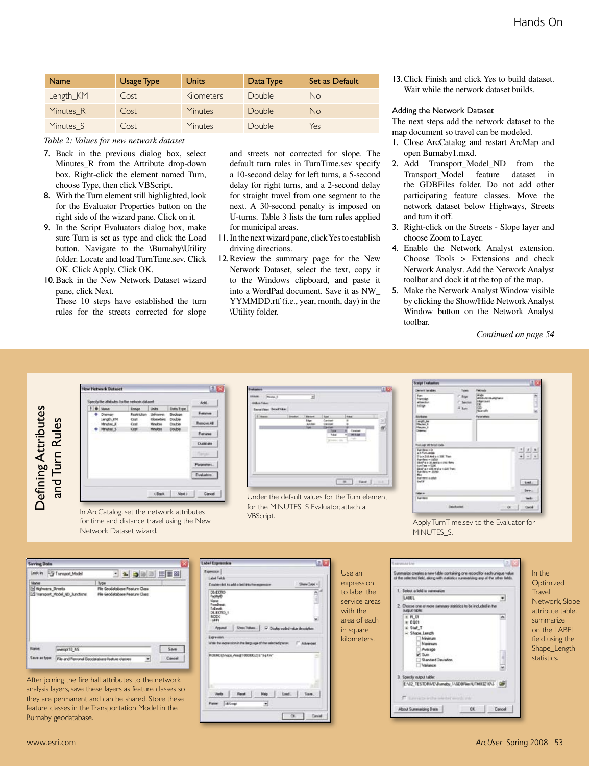| <b>Name</b>          | <b>Usage Type</b> | Units             | Data Type | Set as Default |
|----------------------|-------------------|-------------------|-----------|----------------|
| Length KM            | Cost              | <b>Kilometers</b> | Double.   | No             |
| Minutes <sub>R</sub> | Cost              | Minutes           | Double    | <b>No</b>      |
| Minutes S            | Cost              | Minutes           | Double    | Yes            |

#### *Table 2: Values for new network dataset*

- 7. Back in the previous dialog box, select Minutes\_R from the Attribute drop-down box. Right-click the element named Turn, choose Type, then click VBScript.
- 8. With the Turn element still highlighted, look for the Evaluator Properties button on the right side of the wizard pane. Click on it.
- 9. In the Script Evaluators dialog box, make sure Turn is set as type and click the Load button. Navigate to the \Burnaby\Utility folder. Locate and load TurnTime.sev. Click OK. Click Apply. Click OK.
- 10.Back in the New Network Dataset wizard pane, click Next.

These 10 steps have established the turn rules for the streets corrected for slope and streets not corrected for slope. The default turn rules in TurnTime.sev specify a 10-second delay for left turns, a 5-second delay for right turns, and a 2-second delay for straight travel from one segment to the next. A 30-second penalty is imposed on U-turns. Table 3 lists the turn rules applied for municipal areas.

- 11.In the next wizard pane, click Yes to establish driving directions.
- 12.Review the summary page for the New Network Dataset, select the text, copy it to the Windows clipboard, and paste it into a WordPad document. Save it as NW\_ YYMMDD.rtf (i.e., year, month, day) in the \Utility folder.

13.Click Finish and click Yes to build dataset. Wait while the network dataset builds.

#### Adding the Network Dataset

The next steps add the network dataset to the map document so travel can be modeled.

- 1. Close ArcCatalog and restart ArcMap and open Burnaby1.mxd.
- 2. Add Transport\_Model\_ND from the Transport\_Model feature dataset in the GDBFiles folder. Do not add other participating feature classes. Move the network dataset below Highways, Streets and turn it off.
- 3. Right-click on the Streets Slope layer and choose Zoom to Layer.
- 4. Enable the Network Analyst extension. Choose Tools > Extensions and check Network Analyst. Add the Network Analyst toolbar and dock it at the top of the map.
- 5. Make the Network Analyst Window visible by clicking the Show/Hide Network Analyst Window button on the Network Analyst toolbar.

*Continued on page 54*



In ArcCatalog, set the network attributes for time and distance travel using the New Network Dataset wizard.

| Exclusives                                                             |                |                                                  |                                                                                                 |                                                | ue |
|------------------------------------------------------------------------|----------------|--------------------------------------------------|-------------------------------------------------------------------------------------------------|------------------------------------------------|----|
| <b>ANAK Point</b><br><b>Mark William</b><br><b>Encoline: Prodition</b> |                | ⋑                                                |                                                                                                 |                                                |    |
| [f   tame                                                              | <b>Insular</b> | <b>Banan</b><br><b>lige</b><br><b>Andre</b><br>w | <b>futur</b><br>Castrat<br>Caviat<br><b>CARAK</b><br><b>Turned</b><br><b>Taker</b><br>please on | <b>TALE</b><br>Council<br><b>MRM</b><br>$\sim$ | 긟  |
|                                                                        |                |                                                  |                                                                                                 | <b>B.</b> 1 Tard 1                             |    |

Under the default values for the Turn element for the MINUTES\_S Evaluator, attach a VBScript. Apply TurnTime.sev to the Evaluator for



MINUTES<sub>S</sub>.



After joining the fire hall attributes to the network analysis layers, save these layers as feature classes so they are permanent and can be shared. Store these feature classes in the Transportation Model in the Burnaby geodatabase.

| abol Expression                                                                                                                                        |                                                           |
|--------------------------------------------------------------------------------------------------------------------------------------------------------|-----------------------------------------------------------|
| Farmer 1<br><b>Label Febb</b><br>Show Type +<br>Double-clut to add a leit into the expension                                                           | Use an<br>expression                                      |
| DELECTION<br>Facilied<br>Marine<br><b>Promitimate</b><br><b>Lekansk</b><br>DELECTIO_1<br><b>MODE</b><br>LIMITE                                         | to label the<br>service areas<br>with the<br>area of each |
| <b>Show Values</b><br>P Cluster coded value description<br>Appoint<br><b>Expression</b><br>ichte the moneration in the lenguage of the selected parse. | in square<br>kilometers.                                  |
| ROUND EShape_Awa@T000000.2) L"Sq Firs"<br>٠<br>$-5a$<br>Leaf.<br><b>Haip</b>                                                                           |                                                           |
| <b>Allow</b><br>۰<br><b>Patter</b><br>CK.<br>Carvel                                                                                                    |                                                           |



In the **Optimized Travel** Network, Slope attribute table, summarize on the LABEL field using the Shape\_Length statistics.

Defining Attributes and Turn Rules

and Turn Rules

**Defining Attributes**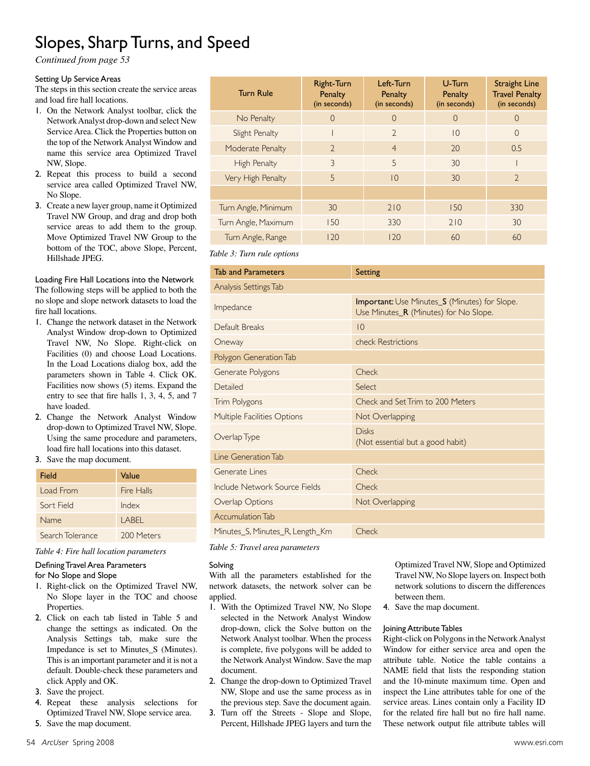*Continued from page 53*

#### Setting Up Service Areas

The steps in this section create the service areas and load fire hall locations.

- 1. On the Network Analyst toolbar, click the Network Analyst drop-down and select New Service Area. Click the Properties button on the top of the Network Analyst Window and name this service area Optimized Travel NW, Slope.
- 2. Repeat this process to build a second service area called Optimized Travel NW, No Slope.
- 3. Create a new layer group, name it Optimized Travel NW Group, and drag and drop both service areas to add them to the group. Move Optimized Travel NW Group to the bottom of the TOC, above Slope, Percent, Hillshade JPEG.

Loading Fire Hall Locations into the Network The following steps will be applied to both the no slope and slope network datasets to load the fire hall locations.

- 1. Change the network dataset in the Network Analyst Window drop-down to Optimized Travel NW, No Slope. Right-click on Facilities (0) and choose Load Locations. In the Load Locations dialog box, add the parameters shown in Table 4. Click OK. Facilities now shows (5) items. Expand the entry to see that fire halls 1, 3, 4, 5, and 7 have loaded.
- 2. Change the Network Analyst Window drop-down to Optimized Travel NW, Slope. Using the same procedure and parameters, load fire hall locations into this dataset.

#### 3. Save the map document.

| Field            | Value      |
|------------------|------------|
| Load From        | Fire Halls |
| Sort Field       | Index      |
| Name             | I ABFI     |
| Search Tolerance | 200 Meters |

*Table 4: Fire hall location parameters*

#### Defining Travel Area Parameters

for No Slope and Slope

- 1. Right-click on the Optimized Travel NW, No Slope layer in the TOC and choose Properties.
- 2. Click on each tab listed in Table 5 and change the settings as indicated. On the Analysis Settings tab, make sure the Impedance is set to Minutes\_S (Minutes). This is an important parameter and it is not a default. Double-check these parameters and click Apply and OK.
- 3. Save the project.
- 4. Repeat these analysis selections for Optimized Travel NW, Slope service area.
- 5. Save the map document.

| <b>Turn Rule</b>    | <b>Right-Turn</b><br>Penalty<br>(in seconds) | Left-Turn<br><b>Penalty</b><br>(in seconds) | U-Turn<br><b>Penalty</b><br>(in seconds) | <b>Straight Line</b><br><b>Travel Penalty</b><br>(in seconds) |
|---------------------|----------------------------------------------|---------------------------------------------|------------------------------------------|---------------------------------------------------------------|
| No Penalty          | $\Omega$                                     | $\Omega$                                    | $\Omega$                                 | $\Omega$                                                      |
| Slight Penalty      |                                              | $\mathcal{D}$                               | 10                                       | $\Omega$                                                      |
| Moderate Penalty    | $\mathcal{D}$                                | $\overline{4}$                              | 20                                       | 0.5                                                           |
| High Penalty        | $\mathcal{E}$                                | 5                                           | 30                                       |                                                               |
| Very High Penalty   | 5                                            | $\overline{10}$                             | 30                                       | $\mathcal{D}$                                                 |
|                     |                                              |                                             |                                          |                                                               |
| Turn Angle, Minimum | 30                                           | 210                                         | 150                                      | 330                                                           |
| Turn Angle, Maximum | 150                                          | 330                                         | 210                                      | 30                                                            |
| Turn Angle, Range   | 120                                          | 120                                         | 60                                       | 60                                                            |

*Table 3: Turn rule options*

| <b>Tab and Parameters</b>       | Setting                                                                                       |  |  |
|---------------------------------|-----------------------------------------------------------------------------------------------|--|--|
| Analysis Settings Tab           |                                                                                               |  |  |
| Impedance                       | <b>Important:</b> Use Minutes_S (Minutes) for Slope.<br>Use Minutes_R (Minutes) for No Slope. |  |  |
| Default Breaks                  | $ 0\rangle$                                                                                   |  |  |
| Oneway                          | check Restrictions                                                                            |  |  |
| Polygon Generation Tab          |                                                                                               |  |  |
| Generate Polygons               | Check                                                                                         |  |  |
| Detailed                        | Select                                                                                        |  |  |
| Trim Polygons                   | Check and Set Trim to 200 Meters                                                              |  |  |
| Multiple Facilities Options     | Not Overlapping                                                                               |  |  |
| Overlap Type                    | <b>Disks</b><br>(Not essential but a good habit)                                              |  |  |
| Line Generation Tab             |                                                                                               |  |  |
| Generate Lines                  | Check                                                                                         |  |  |
| Include Network Source Fields   | Check                                                                                         |  |  |
| Overlap Options                 | Not Overlapping                                                                               |  |  |
| Accumulation Tab                |                                                                                               |  |  |
| Minutes_S, Minutes_R, Length_Km | Check                                                                                         |  |  |

*Table 5: Travel area parameters*

#### Solving

With all the parameters established for the network datasets, the network solver can be applied.

- 1. With the Optimized Travel NW, No Slope selected in the Network Analyst Window drop-down, click the Solve button on the Network Analyst toolbar. When the process is complete, five polygons will be added to the Network Analyst Window. Save the map document.
- 2. Change the drop-down to Optimized Travel NW, Slope and use the same process as in the previous step. Save the document again.
- 3. Turn off the Streets Slope and Slope, Percent, Hillshade JPEG layers and turn the

Optimized Travel NW, Slope and Optimized Travel NW, No Slope layers on. Inspect both network solutions to discern the differences between them.

4. Save the map document.

#### Joining Attribute Tables

Right-click on Polygons in the Network Analyst Window for either service area and open the attribute table. Notice the table contains a NAME field that lists the responding station and the 10-minute maximum time. Open and inspect the Line attributes table for one of the service areas. Lines contain only a Facility ID for the related fire hall but no fire hall name. These network output file attribute tables will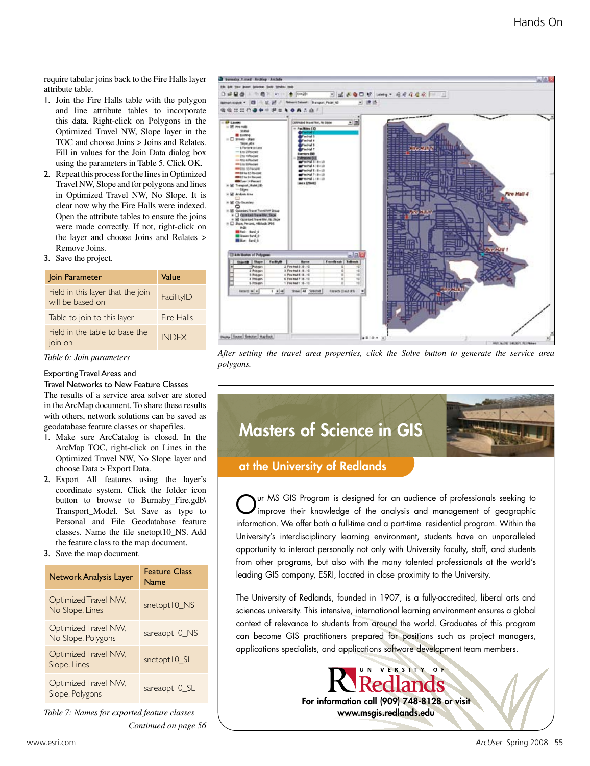require tabular joins back to the Fire Halls layer attribute table.

- 1. Join the Fire Halls table with the polygon and line attribute tables to incorporate this data. Right-click on Polygons in the Optimized Travel NW, Slope layer in the TOC and choose Joins > Joins and Relates. Fill in values for the Join Data dialog box using the parameters in Table 5. Click OK.
- 2. Repeat this process for the lines in Optimized Travel NW, Slope and for polygons and lines in Optimized Travel NW, No Slope. It is clear now why the Fire Halls were indexed. Open the attribute tables to ensure the joins were made correctly. If not, right-click on the layer and choose Joins and Relates > Remove Joins.
- 3. Save the project.

| Join Parameter                                        | Value        |
|-------------------------------------------------------|--------------|
| Field in this layer that the join<br>will be based on | FacilityID   |
| Table to join to this layer                           | Fire Halls   |
| Field in the table to base the<br>join on             | <b>INDFX</b> |

*Table 6: Join parameters*

#### Exporting Travel Areas and

Travel Networks to New Feature Classes The results of a service area solver are stored in the ArcMap document. To share these results with others, network solutions can be saved as geodatabase feature classes or shapefiles.

- 1. Make sure ArcCatalog is closed. In the ArcMap TOC, right-click on Lines in the Optimized Travel NW, No Slope layer and choose Data > Export Data.
- 2. Export All features using the layer's coordinate system. Click the folder icon button to browse to Burnaby\_Fire.gdb\ Transport\_Model. Set Save as type to Personal and File Geodatabase feature classes. Name the file snetopt10\_NS. Add the feature class to the map document.
- 3. Save the map document.

| <b>Network Analysis Layer</b>              | <b>Feature Class</b><br>Name |
|--------------------------------------------|------------------------------|
| Optimized Travel NW,<br>No Slope, Lines    | snetopt10_NS                 |
| Optimized Travel NW,<br>No Slope, Polygons | sareaopt IO_NS               |
| Optimized Travel NW,<br>Slope, Lines       | snetopt IO_SL                |
| Optimized Travel NW,<br>Slope, Polygons    | sareaopt 10 SL               |

*Table 7: Names for exported feature classes Continued on page 56*



*After setting the travel area properties, click the Solve button to generate the service area polygons.*

## Masters of Science in GIS



### at the University of Redlands

Our MS GIS Program is designed for an audience of professionals seeking to improve their knowledge of the analysis and management of geographic information. We offer both a full-time and a part-time residential program. Within the University's interdisciplinary learning environment, students have an unparalleled opportunity to interact personally not only with University faculty, staff, and students from other programs, but also with the many talented professionals at the world's leading GIS company, ESRI, located in close proximity to the University.

The University of Redlands, founded in 1907, is a fully-accredited, liberal arts and sciences university. This intensive, international learning environment ensures a global context of relevance to students from around the world. Graduates of this program can become GIS practitioners prepared for positions such as project managers, applications specialists, and applications software development team members.

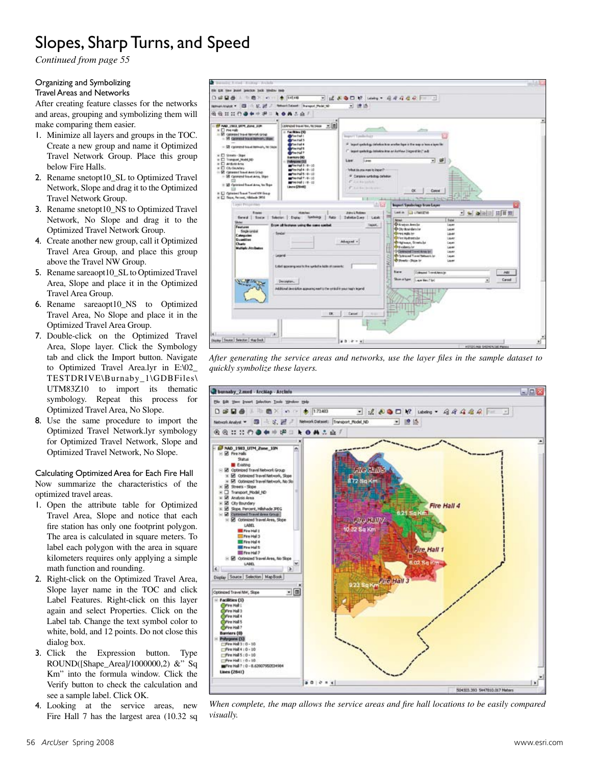*Continued from page 55*

#### Organizing and Symbolizing

Travel Areas and Networks

After creating feature classes for the networks and areas, grouping and symbolizing them will make comparing them easier.

- 1. Minimize all layers and groups in the TOC. Create a new group and name it Optimized Travel Network Group. Place this group below Fire Halls.
- 2. Rename snetopt10\_SL to Optimized Travel Network, Slope and drag it to the Optimized Travel Network Group.
- 3. Rename snetopt10\_NS to Optimized Travel Network, No Slope and drag it to the Optimized Travel Network Group.
- 4. Create another new group, call it Optimized Travel Area Group, and place this group above the Travel NW Group.
- 5. Rename sareaopt10\_SL to Optimized Travel Area, Slope and place it in the Optimized Travel Area Group.
- 6. Rename sareaopt10\_NS to Optimized Travel Area, No Slope and place it in the Optimized Travel Area Group.
- 7. Double-click on the Optimized Travel Area, Slope layer. Click the Symbology tab and click the Import button. Navigate to Optimized Travel Area.lyr in E:\02\_ TESTDRIVE\Burnaby\_1\GDBFiles\ UTM83Z10 to import its thematic symbology. Repeat this process for Optimized Travel Area, No Slope.
- 8. Use the same procedure to import the Optimized Travel Network.lyr symbology for Optimized Travel Network, Slope and Optimized Travel Network, No Slope.

Calculating Optimized Area for Each Fire Hall Now summarize the characteristics of the optimized travel areas.

- 1. Open the attribute table for Optimized Travel Area, Slope and notice that each fire station has only one footprint polygon. The area is calculated in square meters. To label each polygon with the area in square kilometers requires only applying a simple math function and rounding.
- 2. Right-click on the Optimized Travel Area, Slope layer name in the TOC and click Label Features. Right-click on this layer again and select Properties. Click on the Label tab. Change the text symbol color to white, bold, and 12 points. Do not close this dialog box.
- 3. Click the Expression button. Type ROUND([Shape\_Area]/1000000,2) &" Sq Km" into the formula window. Click the Verify button to check the calculation and see a sample label. Click OK.
- 4. Looking at the service areas, new Fire Hall 7 has the largest area (10.32 sq



*After generating the service areas and networks, use the layer files in the sample dataset to quickly symbolize these layers.* 



*When complete, the map allows the service areas and fire hall locations to be easily compared visually.*